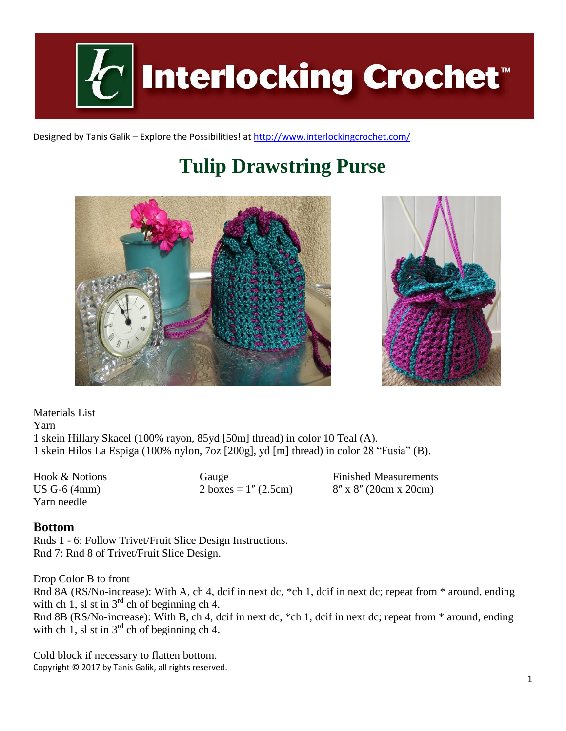

Designed by Tanis Galik – Explore the Possibilities! a[t http://www.interlockingcrochet.com/](http://www.interlockingcrochet.com/)

# **Tulip Drawstring Purse**





Materials List Yarn 1 skein Hillary Skacel (100% rayon, 85yd [50m] thread) in color 10 Teal (A). 1 skein Hilos La Espiga (100% nylon, 7oz [200g], yd [m] thread) in color 28 "Fusia" (B).

Yarn needle

Hook & Notions Gauge Finished Measurements US G-6 (4mm) 2 boxes =  $1''$  (2.5cm) 8'' x 8'' (20cm x 20cm)

#### **Bottom**

Rnds 1 - 6: Follow Trivet/Fruit Slice Design Instructions. Rnd 7: Rnd 8 of Trivet/Fruit Slice Design.

Drop Color B to front Rnd 8A (RS/No-increase): With A, ch 4, dcif in next dc, \*ch 1, dcif in next dc; repeat from \* around, ending with ch 1, sl st in  $3^{rd}$  ch of beginning ch 4. Rnd 8B (RS/No-increase): With B, ch 4, dcif in next dc, \*ch 1, dcif in next dc; repeat from \* around, ending

with ch 1, sl st in  $3<sup>rd</sup>$  ch of beginning ch 4.

Copyright © 2017 by Tanis Galik, all rights reserved. Cold block if necessary to flatten bottom.